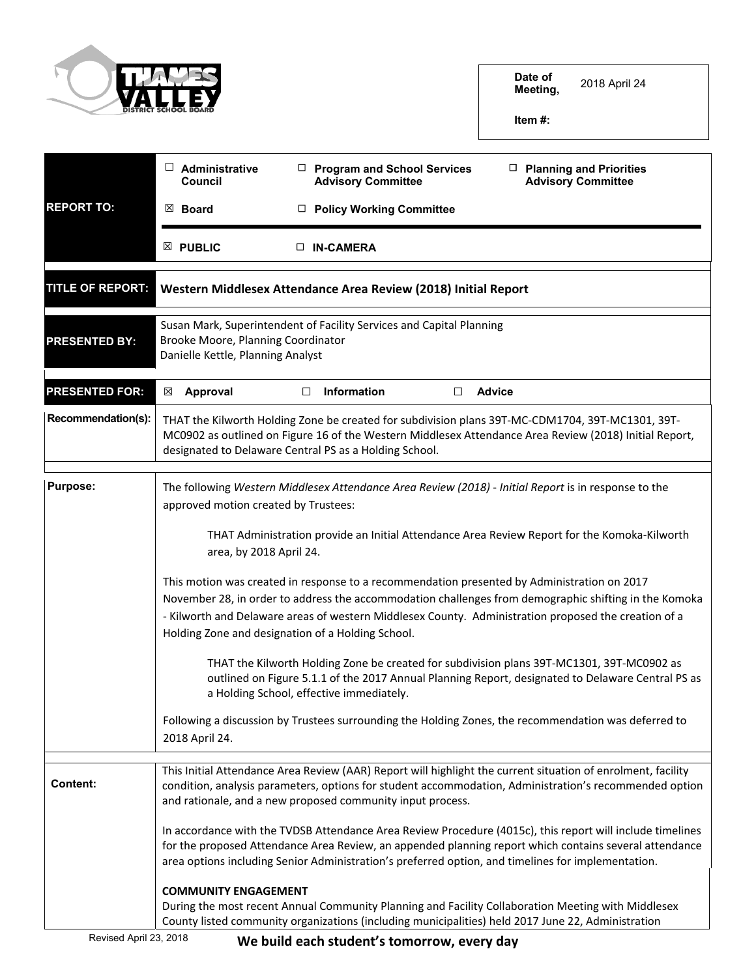

**Date of Meeting,** 2018 April 24

**Item #:**

|                         | $\Box$ Administrative<br>Council                                                                                                                                                                                                                                                                                                                                  | □ Program and School Services<br><b>Advisory Committee</b>                                                                                                                                                                                                                                                                | $\Box$ Planning and Priorities<br><b>Advisory Committee</b> |  |
|-------------------------|-------------------------------------------------------------------------------------------------------------------------------------------------------------------------------------------------------------------------------------------------------------------------------------------------------------------------------------------------------------------|---------------------------------------------------------------------------------------------------------------------------------------------------------------------------------------------------------------------------------------------------------------------------------------------------------------------------|-------------------------------------------------------------|--|
| <b>REPORT TO:</b>       | $\boxtimes$ Board                                                                                                                                                                                                                                                                                                                                                 | <b>Policy Working Committee</b><br>$\Box$                                                                                                                                                                                                                                                                                 |                                                             |  |
|                         | $\boxtimes$ PUBLIC                                                                                                                                                                                                                                                                                                                                                | $\Box$ IN-CAMERA                                                                                                                                                                                                                                                                                                          |                                                             |  |
| <b>TITLE OF REPORT:</b> |                                                                                                                                                                                                                                                                                                                                                                   | Western Middlesex Attendance Area Review (2018) Initial Report                                                                                                                                                                                                                                                            |                                                             |  |
| <b>PRESENTED BY:</b>    | Brooke Moore, Planning Coordinator<br>Danielle Kettle, Planning Analyst                                                                                                                                                                                                                                                                                           | Susan Mark, Superintendent of Facility Services and Capital Planning                                                                                                                                                                                                                                                      |                                                             |  |
| <b>PRESENTED FOR:</b>   | Approval<br>⊠                                                                                                                                                                                                                                                                                                                                                     | Information<br>□<br>$\Box$                                                                                                                                                                                                                                                                                                | <b>Advice</b>                                               |  |
| Recommendation(s):      |                                                                                                                                                                                                                                                                                                                                                                   | THAT the Kilworth Holding Zone be created for subdivision plans 39T-MC-CDM1704, 39T-MC1301, 39T-<br>MC0902 as outlined on Figure 16 of the Western Middlesex Attendance Area Review (2018) Initial Report,<br>designated to Delaware Central PS as a Holding School.                                                      |                                                             |  |
| <b>Purpose:</b>         | The following Western Middlesex Attendance Area Review (2018) - Initial Report is in response to the<br>approved motion created by Trustees:<br>THAT Administration provide an Initial Attendance Area Review Report for the Komoka-Kilworth                                                                                                                      |                                                                                                                                                                                                                                                                                                                           |                                                             |  |
|                         | area, by 2018 April 24.                                                                                                                                                                                                                                                                                                                                           |                                                                                                                                                                                                                                                                                                                           |                                                             |  |
|                         | This motion was created in response to a recommendation presented by Administration on 2017<br>November 28, in order to address the accommodation challenges from demographic shifting in the Komoka<br>- Kilworth and Delaware areas of western Middlesex County. Administration proposed the creation of a<br>Holding Zone and designation of a Holding School. |                                                                                                                                                                                                                                                                                                                           |                                                             |  |
|                         | THAT the Kilworth Holding Zone be created for subdivision plans 39T-MC1301, 39T-MC0902 as<br>outlined on Figure 5.1.1 of the 2017 Annual Planning Report, designated to Delaware Central PS as<br>a Holding School, effective immediately.                                                                                                                        |                                                                                                                                                                                                                                                                                                                           |                                                             |  |
|                         | Following a discussion by Trustees surrounding the Holding Zones, the recommendation was deferred to<br>2018 April 24.                                                                                                                                                                                                                                            |                                                                                                                                                                                                                                                                                                                           |                                                             |  |
| <b>Content:</b>         |                                                                                                                                                                                                                                                                                                                                                                   | This Initial Attendance Area Review (AAR) Report will highlight the current situation of enrolment, facility<br>condition, analysis parameters, options for student accommodation, Administration's recommended option<br>and rationale, and a new proposed community input process.                                      |                                                             |  |
|                         |                                                                                                                                                                                                                                                                                                                                                                   | In accordance with the TVDSB Attendance Area Review Procedure (4015c), this report will include timelines<br>for the proposed Attendance Area Review, an appended planning report which contains several attendance<br>area options including Senior Administration's preferred option, and timelines for implementation. |                                                             |  |
|                         | <b>COMMUNITY ENGAGEMENT</b>                                                                                                                                                                                                                                                                                                                                       | During the most recent Annual Community Planning and Facility Collaboration Meeting with Middlesex<br>County listed community organizations (including municipalities) held 2017 June 22, Administration                                                                                                                  |                                                             |  |